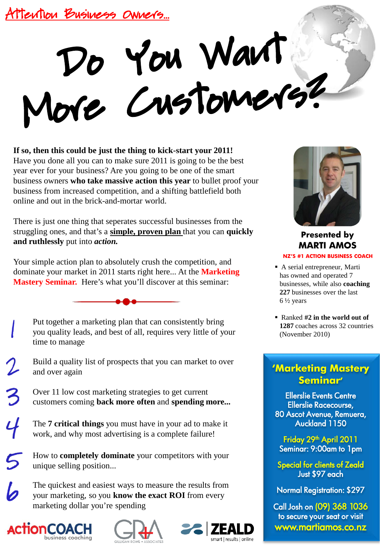# Attention Business Owners...

# Do You Want

**If so, then this could be just the thing to kick-start your 2011!**

Have you done all you can to make sure 2011 is going to be the best year ever for your business? Are you going to be one of the smart business owners **who take massive action this year** to bullet proof your business from increased competition, and a shifting battlefield both online and out in the brick-and-mortar world.

There is just one thing that seperates successful businesses from the struggling ones, and that's a **simple, proven plan** that you can **quickly and ruthlessly** put into *action.* 

Your simple action plan to absolutely crush the competition, and dominate your market in 2011 starts right here... At the **Marketing Mastery Seminar.** Here's what you'll discover at this seminar:

Put together a marketing plan that can consistently bring you quality leads, and best of all, requires very little of your time to manage

Build a quality list of prospects that you can market to over and over again

Over 11 low cost marketing strategies to get current customers coming **back more often** and **spending more...**

The **7 critical things** you must have in your ad to make it work, and why most advertising is a complete failure!

How to **completely dominate** your competitors with your unique selling position...

The quickest and easiest ways to measure the results from your marketing, so you **know the exact ROI** from every marketing dollar you're spending









### **Presented by MARTI AMOS NZ'S #1 ACTION BUSINESS COACH**

- A serial entrepreneur, Marti has owned and operated 7 businesses, while also **coaching 227** businesses over the last  $6\frac{1}{2}$  years
- Ranked **#2 in the world out of 1287** coaches across 32 countries (November 2010)

### **'Marketing Mastery Seminar'**

Ellerslie Events Centre Ellerslie Racecourse, 80 Ascot Avenue, Remuera, Auckland 1150

Friday 29th April 2011 Seminar: 9:00am to 1pm

Special for clients of Zeald Just \$97 each

Normal Registration: \$297

Call Josh on (09) 368 1036 to secure your seat or visit www.martiamos.co.nz